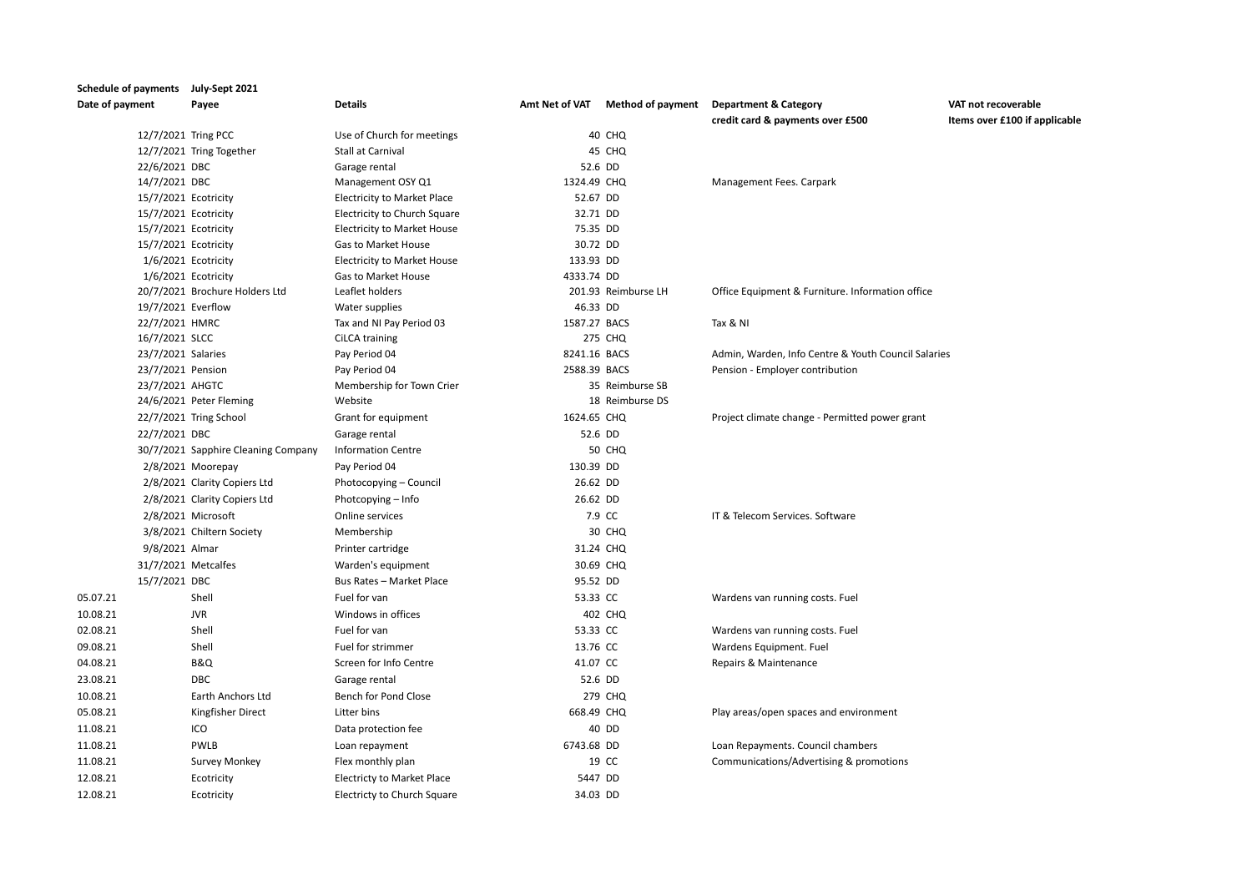|                 |                      | Schedule of payments July-Sept 2021 |                                    |                |                          |                                                     |                               |
|-----------------|----------------------|-------------------------------------|------------------------------------|----------------|--------------------------|-----------------------------------------------------|-------------------------------|
| Date of payment |                      | Payee                               | <b>Details</b>                     | Amt Net of VAT | <b>Method of payment</b> | <b>Department &amp; Category</b>                    | VAT not recoverable           |
|                 |                      |                                     |                                    |                |                          | credit card & payments over £500                    | Items over £100 if applicable |
|                 | 12/7/2021 Tring PCC  |                                     | Use of Church for meetings         |                | 40 CHQ                   |                                                     |                               |
|                 |                      | 12/7/2021 Tring Together            | Stall at Carnival                  |                | 45 CHQ                   |                                                     |                               |
|                 | 22/6/2021 DBC        |                                     | Garage rental                      | 52.6 DD        |                          |                                                     |                               |
|                 | 14/7/2021 DBC        |                                     | Management OSY Q1                  | 1324.49 CHQ    |                          | Management Fees. Carpark                            |                               |
|                 | 15/7/2021 Ecotricity |                                     | <b>Electricity to Market Place</b> | 52.67 DD       |                          |                                                     |                               |
|                 | 15/7/2021 Ecotricity |                                     | Electricity to Church Square       | 32.71 DD       |                          |                                                     |                               |
|                 | 15/7/2021 Ecotricity |                                     | <b>Electricity to Market House</b> | 75.35 DD       |                          |                                                     |                               |
|                 | 15/7/2021 Ecotricity |                                     | Gas to Market House                | 30.72 DD       |                          |                                                     |                               |
|                 | 1/6/2021 Ecotricity  |                                     | <b>Electricity to Market House</b> | 133.93 DD      |                          |                                                     |                               |
|                 | 1/6/2021 Ecotricity  |                                     | Gas to Market House                | 4333.74 DD     |                          |                                                     |                               |
|                 |                      | 20/7/2021 Brochure Holders Ltd      | Leaflet holders                    |                | 201.93 Reimburse LH      | Office Equipment & Furniture. Information office    |                               |
|                 | 19/7/2021 Everflow   |                                     | Water supplies                     | 46.33 DD       |                          |                                                     |                               |
|                 | 22/7/2021 HMRC       |                                     | Tax and NI Pay Period 03           | 1587.27 BACS   |                          | Tax & NI                                            |                               |
|                 | 16/7/2021 SLCC       |                                     | CiLCA training                     |                | 275 CHO                  |                                                     |                               |
|                 | 23/7/2021 Salaries   |                                     | Pay Period 04                      | 8241.16 BACS   |                          | Admin, Warden, Info Centre & Youth Council Salaries |                               |
|                 | 23/7/2021 Pension    |                                     | Pay Period 04                      | 2588.39 BACS   |                          | Pension - Employer contribution                     |                               |
|                 | 23/7/2021 AHGTC      |                                     | Membership for Town Crier          |                | 35 Reimburse SB          |                                                     |                               |
|                 |                      | 24/6/2021 Peter Fleming             | Website                            |                | 18 Reimburse DS          |                                                     |                               |
|                 |                      | 22/7/2021 Tring School              | Grant for equipment                | 1624.65 CHQ    |                          | Project climate change - Permitted power grant      |                               |
|                 | 22/7/2021 DBC        |                                     | Garage rental                      | 52.6 DD        |                          |                                                     |                               |
|                 |                      | 30/7/2021 Sapphire Cleaning Company | <b>Information Centre</b>          |                | 50 CHQ                   |                                                     |                               |
|                 |                      | $2/8/2021$ Moorepay                 | Pay Period 04                      | 130.39 DD      |                          |                                                     |                               |
|                 |                      | 2/8/2021 Clarity Copiers Ltd        | Photocopying - Council             | 26.62 DD       |                          |                                                     |                               |
|                 |                      | 2/8/2021 Clarity Copiers Ltd        | Photcopying - Info                 | 26.62 DD       |                          |                                                     |                               |
|                 |                      | 2/8/2021 Microsoft                  | Online services                    |                | 7.9 CC                   | IT & Telecom Services. Software                     |                               |
|                 |                      | 3/8/2021 Chiltern Society           | Membership                         |                | 30 CHQ                   |                                                     |                               |
|                 | 9/8/2021 Almar       |                                     | Printer cartridge                  | 31.24 CHQ      |                          |                                                     |                               |
|                 | 31/7/2021 Metcalfes  |                                     | Warden's equipment                 | 30.69 CHQ      |                          |                                                     |                               |
|                 | 15/7/2021 DBC        |                                     | Bus Rates - Market Place           | 95.52 DD       |                          |                                                     |                               |
| 05.07.21        |                      | Shell                               | Fuel for van                       | 53.33 CC       |                          | Wardens van running costs. Fuel                     |                               |
| 10.08.21        |                      | <b>JVR</b>                          | Windows in offices                 |                | 402 CHQ                  |                                                     |                               |
| 02.08.21        |                      | Shell                               | Fuel for van                       | 53.33 CC       |                          | Wardens van running costs. Fuel                     |                               |
| 09.08.21        |                      | Shell                               | Fuel for strimmer                  | 13.76 CC       |                          | Wardens Equipment. Fuel                             |                               |
| 04.08.21        |                      | <b>B&amp;Q</b>                      | Screen for Info Centre             | 41.07 CC       |                          | Repairs & Maintenance                               |                               |
| 23.08.21        |                      | <b>DBC</b>                          | Garage rental                      | 52.6 DD        |                          |                                                     |                               |
| 10.08.21        |                      | Earth Anchors Ltd                   | Bench for Pond Close               |                | 279 CHQ                  |                                                     |                               |
| 05.08.21        |                      | Kingfisher Direct                   | Litter bins                        | 668.49 CHQ     |                          | Play areas/open spaces and environment              |                               |
|                 |                      | ICO                                 |                                    |                | 40 DD                    |                                                     |                               |
| 11.08.21        |                      | PWLB                                | Data protection fee                | 6743.68 DD     |                          |                                                     |                               |
| 11.08.21        |                      |                                     | Loan repayment                     |                |                          | Loan Repayments. Council chambers                   |                               |
| 11.08.21        |                      | Survey Monkey                       | Flex monthly plan                  |                | 19 CC                    | Communications/Advertising & promotions             |                               |
| 12.08.21        |                      | Ecotricity                          | <b>Electricty to Market Place</b>  | 5447 DD        |                          |                                                     |                               |
| 12.08.21        |                      | Ecotricity                          | <b>Electricty to Church Square</b> | 34.03 DD       |                          |                                                     |                               |